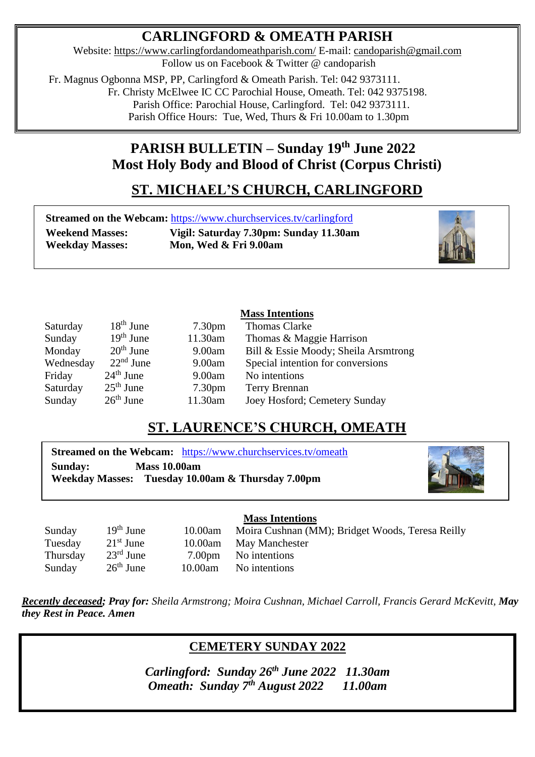## **CARLINGFORD & OMEATH PARISH**

Website:<https://www.carlingfordandomeathparish.com/> E-mail: [candoparish@gmail.com](mailto:candoparish@gmail.com) Follow us on Facebook & Twitter @ candoparish

 Fr. Magnus Ogbonna MSP, PP, Carlingford & Omeath Parish. Tel: 042 9373111. Fr. Christy McElwee IC CC Parochial House, Omeath. Tel: 042 9375198. Parish Office: Parochial House, Carlingford. Tel: 042 9373111. Parish Office Hours: Tue, Wed, Thurs & Fri 10.00am to 1.30pm

## **PARISH BULLETIN – Sunday 19 th June 2022 Most Holy Body and Blood of Christ (Corpus Christi)**

# **ST. MICHAEL'S CHURCH, CARLINGFORD**

**Streamed on the Webcam:** <https://www.churchservices.tv/carlingford>

 $\overline{a}$ 

**Weekend Masses: Vigil: Saturday 7.30pm: Sunday 11.30am Weekday Masses: Mon, Wed & Fri 9.00am**



### **Mass Intentions**

| $18th$ June | 7.30 <sub>pm</sub> | <b>Thomas Clarke</b>                 |
|-------------|--------------------|--------------------------------------|
| $19th$ June | 11.30am            | Thomas & Maggie Harrison             |
| $20th$ June | 9.00am             | Bill & Essie Moody; Sheila Arsmtrong |
| $22nd$ June | 9.00am             | Special intention for conversions    |
| $24th$ June | 9.00am             | No intentions                        |
| $25th$ June | 7.30 <sub>pm</sub> | <b>Terry Brennan</b>                 |
| $26th$ June | 11.30am            | Joey Hosford; Cemetery Sunday        |
|             |                    |                                      |

## **ST. LAURENCE'S CHURCH, OMEATH**

**Streamed on the Webcam:** <https://www.churchservices.tv/omeath> **Sunday: Mass 10.00am Weekday Masses: Tuesday 10.00am & Thursday 7.00pm**



**Mass Intentions** Sunday 19<sup>th</sup> June 10.00am Moira Cushnan (MM); Bridget Woods, Teresa Reilly Tuesday 21<sup>st</sup> June 10.00am May Manchester<br>Thursday 23<sup>rd</sup> June 7.00pm No intentions 7.00pm No intentions  $26<sup>th</sup>$  June 10.00am No intentions **Thursday Sunday** 

*Recently deceased; Pray for: Sheila Armstrong; Moira Cushnan, Michael Carroll, Francis Gerard McKevitt, May they Rest in Peace. Amen*  

### **CEMETERY SUNDAY 2022**

*Carlingford: Sunday 26th June 2022 11.30am Omeath: Sunday 7 th August 2022 11.00am*